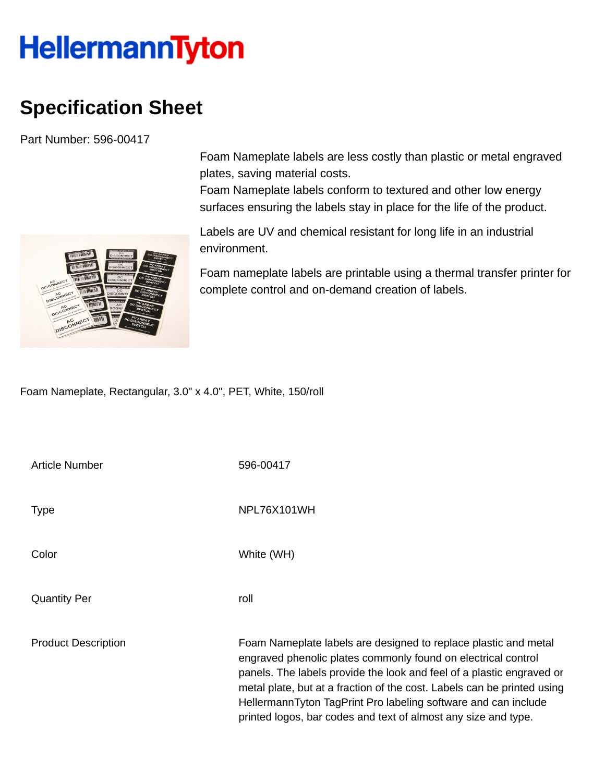## **HellermannTyton**

## **Specification Sheet**

Part Number: 596-00417

Foam Nameplate labels are less costly than plastic or metal engraved plates, saving material costs.

Foam Nameplate labels conform to textured and other low energy surfaces ensuring the labels stay in place for the life of the product.

Labels are UV and chemical resistant for long life in an industrial environment.

Foam nameplate labels are printable using a thermal transfer printer for complete control and on-demand creation of labels.

Foam Nameplate, Rectangular, 3.0" x 4.0", PET, White, 150/roll

| <b>Article Number</b>      | 596-00417                                                                                                                                                                                                                                                                                                                                                                                                                |
|----------------------------|--------------------------------------------------------------------------------------------------------------------------------------------------------------------------------------------------------------------------------------------------------------------------------------------------------------------------------------------------------------------------------------------------------------------------|
| <b>Type</b>                | NPL76X101WH                                                                                                                                                                                                                                                                                                                                                                                                              |
| Color                      | White (WH)                                                                                                                                                                                                                                                                                                                                                                                                               |
| <b>Quantity Per</b>        | roll                                                                                                                                                                                                                                                                                                                                                                                                                     |
| <b>Product Description</b> | Foam Nameplate labels are designed to replace plastic and metal<br>engraved phenolic plates commonly found on electrical control<br>panels. The labels provide the look and feel of a plastic engraved or<br>metal plate, but at a fraction of the cost. Labels can be printed using<br>HellermannTyton TagPrint Pro labeling software and can include<br>printed logos, bar codes and text of almost any size and type. |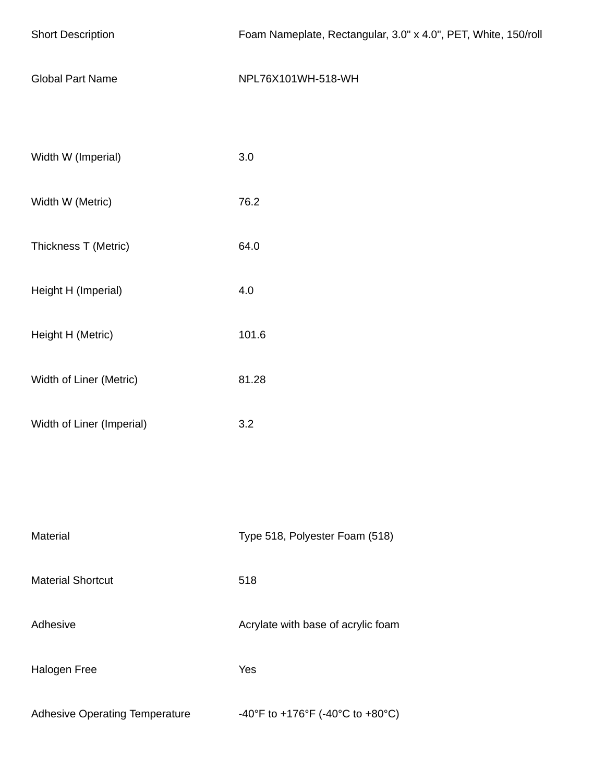| <b>Short Description</b>              | Foam Nameplate, Rectangular, 3.0" x 4.0", PET, White, 150/roll |  |
|---------------------------------------|----------------------------------------------------------------|--|
| <b>Global Part Name</b>               | NPL76X101WH-518-WH                                             |  |
| Width W (Imperial)                    | 3.0                                                            |  |
|                                       |                                                                |  |
| Width W (Metric)                      | 76.2                                                           |  |
| Thickness T (Metric)                  | 64.0                                                           |  |
| Height H (Imperial)                   | 4.0                                                            |  |
| Height H (Metric)                     | 101.6                                                          |  |
| Width of Liner (Metric)               | 81.28                                                          |  |
| Width of Liner (Imperial)             | 3.2                                                            |  |
|                                       |                                                                |  |
| Material                              | Type 518, Polyester Foam (518)                                 |  |
| <b>Material Shortcut</b>              | 518                                                            |  |
| Adhesive                              | Acrylate with base of acrylic foam                             |  |
| Halogen Free                          | Yes                                                            |  |
| <b>Adhesive Operating Temperature</b> | -40°F to +176°F (-40°C to +80°C)                               |  |